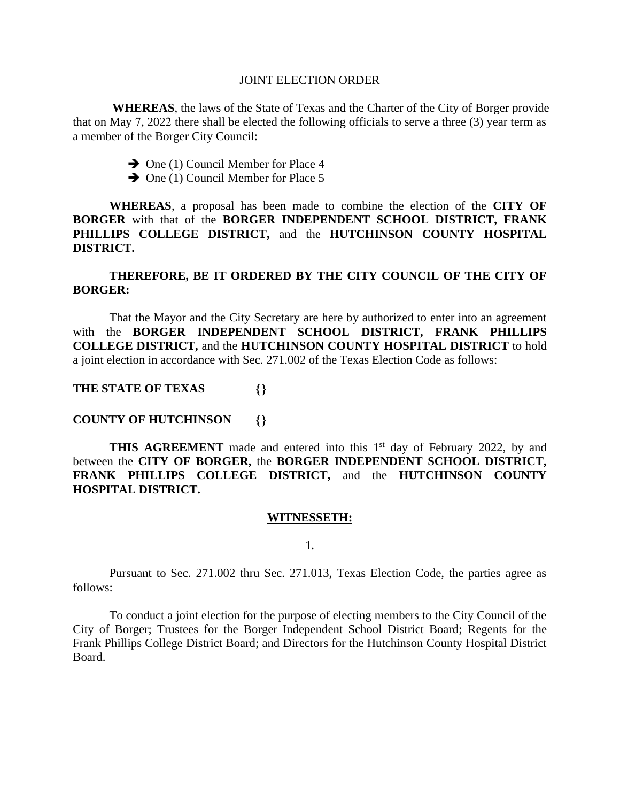#### JOINT ELECTION ORDER

**WHEREAS**, the laws of the State of Texas and the Charter of the City of Borger provide that on May 7, 2022 there shall be elected the following officials to serve a three (3) year term as a member of the Borger City Council:

- ➔ One (1) Council Member for Place 4
- ➔ One (1) Council Member for Place 5

**WHEREAS**, a proposal has been made to combine the election of the **CITY OF BORGER** with that of the **BORGER INDEPENDENT SCHOOL DISTRICT, FRANK PHILLIPS COLLEGE DISTRICT,** and the **HUTCHINSON COUNTY HOSPITAL DISTRICT.**

# **THEREFORE, BE IT ORDERED BY THE CITY COUNCIL OF THE CITY OF BORGER:**

That the Mayor and the City Secretary are here by authorized to enter into an agreement with the **BORGER INDEPENDENT SCHOOL DISTRICT, FRANK PHILLIPS COLLEGE DISTRICT,** and the **HUTCHINSON COUNTY HOSPITAL DISTRICT** to hold a joint election in accordance with Sec. 271.002 of the Texas Election Code as follows:

## **THE STATE OF TEXAS**

### **COUNTY OF HUTCHINSON**

**THIS AGREEMENT** made and entered into this 1<sup>st</sup> day of February 2022, by and between the **CITY OF BORGER,** the **BORGER INDEPENDENT SCHOOL DISTRICT, FRANK PHILLIPS COLLEGE DISTRICT,** and the **HUTCHINSON COUNTY HOSPITAL DISTRICT.**

#### **WITNESSETH:**

1.

Pursuant to Sec. 271.002 thru Sec. 271.013, Texas Election Code, the parties agree as follows:

To conduct a joint election for the purpose of electing members to the City Council of the City of Borger; Trustees for the Borger Independent School District Board; Regents for the Frank Phillips College District Board; and Directors for the Hutchinson County Hospital District Board.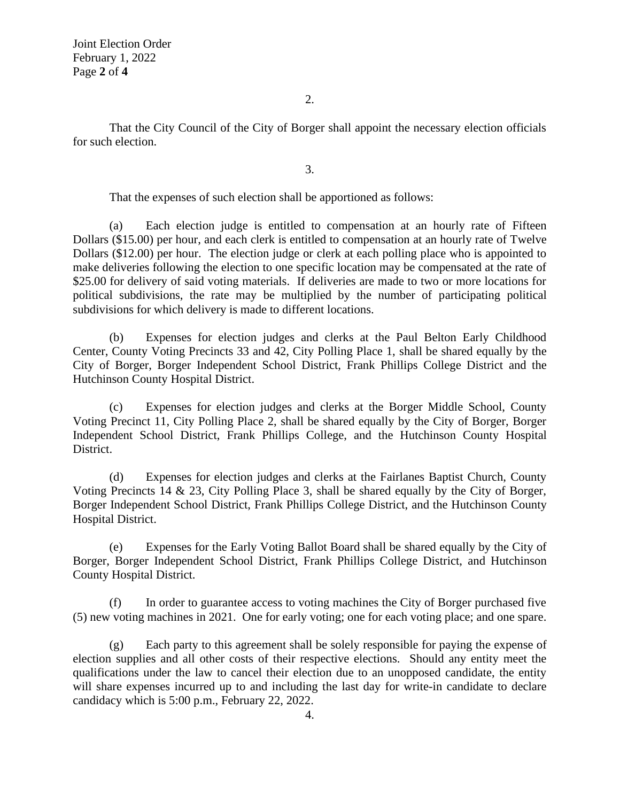Joint Election Order February 1, 2022 Page **2** of **4**

2.

That the City Council of the City of Borger shall appoint the necessary election officials for such election.

3.

That the expenses of such election shall be apportioned as follows:

(a) Each election judge is entitled to compensation at an hourly rate of Fifteen Dollars (\$15.00) per hour, and each clerk is entitled to compensation at an hourly rate of Twelve Dollars (\$12.00) per hour. The election judge or clerk at each polling place who is appointed to make deliveries following the election to one specific location may be compensated at the rate of \$25.00 for delivery of said voting materials. If deliveries are made to two or more locations for political subdivisions, the rate may be multiplied by the number of participating political subdivisions for which delivery is made to different locations.

(b) Expenses for election judges and clerks at the Paul Belton Early Childhood Center, County Voting Precincts 33 and 42, City Polling Place 1, shall be shared equally by the City of Borger, Borger Independent School District, Frank Phillips College District and the Hutchinson County Hospital District.

(c) Expenses for election judges and clerks at the Borger Middle School, County Voting Precinct 11, City Polling Place 2, shall be shared equally by the City of Borger, Borger Independent School District, Frank Phillips College, and the Hutchinson County Hospital District.

(d) Expenses for election judges and clerks at the Fairlanes Baptist Church, County Voting Precincts 14  $\&$  23, City Polling Place 3, shall be shared equally by the City of Borger. Borger Independent School District, Frank Phillips College District, and the Hutchinson County Hospital District.

(e) Expenses for the Early Voting Ballot Board shall be shared equally by the City of Borger, Borger Independent School District, Frank Phillips College District, and Hutchinson County Hospital District.

(f) In order to guarantee access to voting machines the City of Borger purchased five (5) new voting machines in 2021. One for early voting; one for each voting place; and one spare.

(g) Each party to this agreement shall be solely responsible for paying the expense of election supplies and all other costs of their respective elections. Should any entity meet the qualifications under the law to cancel their election due to an unopposed candidate, the entity will share expenses incurred up to and including the last day for write-in candidate to declare candidacy which is 5:00 p.m., February 22, 2022.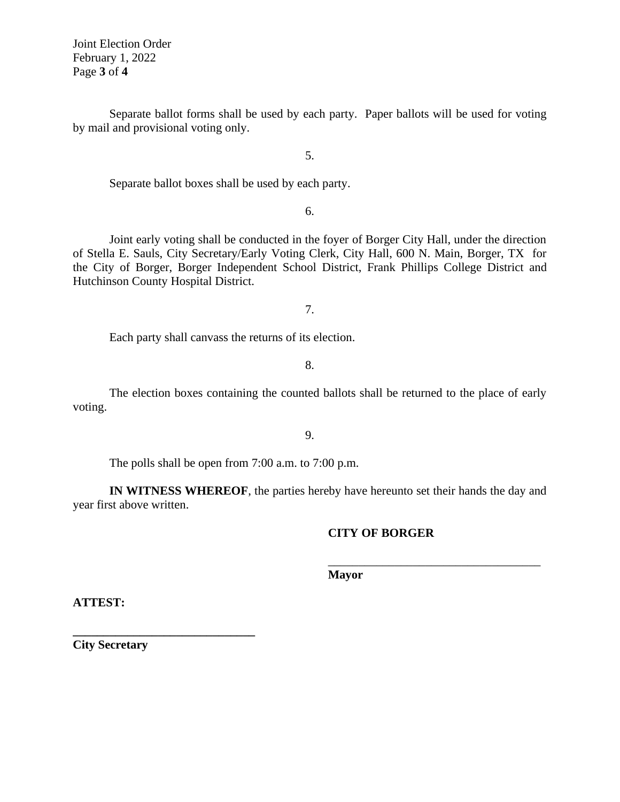Joint Election Order February 1, 2022 Page **3** of **4**

Separate ballot forms shall be used by each party. Paper ballots will be used for voting by mail and provisional voting only.

5.

Separate ballot boxes shall be used by each party.

6.

Joint early voting shall be conducted in the foyer of Borger City Hall, under the direction of Stella E. Sauls, City Secretary/Early Voting Clerk, City Hall, 600 N. Main, Borger, TX for the City of Borger, Borger Independent School District, Frank Phillips College District and Hutchinson County Hospital District.

7.

Each party shall canvass the returns of its election.

8.

The election boxes containing the counted ballots shall be returned to the place of early voting.

9.

The polls shall be open from 7:00 a.m. to 7:00 p.m.

**IN WITNESS WHEREOF**, the parties hereby have hereunto set their hands the day and year first above written.

### **CITY OF BORGER**

\_\_\_\_\_\_\_\_\_\_\_\_\_\_\_\_\_\_\_\_\_\_\_\_\_\_\_\_\_\_\_\_\_\_\_

**Mayor**

**ATTEST:**

**City Secretary**

**\_\_\_\_\_\_\_\_\_\_\_\_\_\_\_\_\_\_\_\_\_\_\_\_\_\_\_\_\_\_**